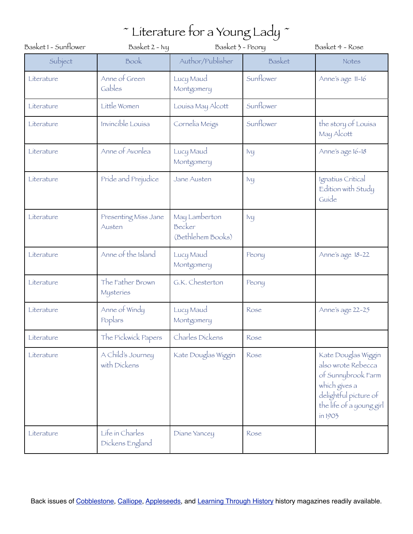| Basket1 - Sunflower | Basket 2 - Ivy                     | Basket 3 - Peony                             |           | Basket 4 - Rose                                                                                                                                  |
|---------------------|------------------------------------|----------------------------------------------|-----------|--------------------------------------------------------------------------------------------------------------------------------------------------|
| Subject             | Book                               | Author/Publisher                             | Basket    | Notes                                                                                                                                            |
| Literature          | Anne of Green<br>Gables            | Lucy Maud<br>Montgomery                      | Sunflower | Anne's age 11-16                                                                                                                                 |
| Literature          | Little Women                       | Louisa May Alcott                            | Sunflower |                                                                                                                                                  |
| Literature          | Invincible Louisa                  | Cornelia Meigs                               | Sunflower | the story of Louisa<br>May Alcott                                                                                                                |
| Literature          | Anne of Avonlea                    | Lucy Maud<br>Montgomery                      | $I\vee U$ | Anne's age 16-18                                                                                                                                 |
| Literature          | Pride and Prejudice                | Jane Austen                                  | Ivy       | Ignatius Critical<br>Edition with Study<br>Guíde                                                                                                 |
| Literature          | Presenting Miss Jane<br>Austen     | May Lamberton<br>Becker<br>(Bethlehem Books) | Ivy       |                                                                                                                                                  |
| Literature          | Anne of the Island                 | Lucy Maud<br>Montgomery                      | Peony     | Anne's age 18-22                                                                                                                                 |
| Literature          | The Father Brown<br>Mysteries      | G.K. Chesterton                              | Peony     |                                                                                                                                                  |
| Literature          | Anne of Windy<br>Poplars           | Lucy Maud<br>Montgomery                      | Rose      | Anne's age 22-25                                                                                                                                 |
| Literature          | The Pickwick Papers                | Charles Dickens                              | Rose      |                                                                                                                                                  |
| Literature          | A Child's Journey<br>with Dickens  | Kate Douglas Wiggin                          | Rose      | Kate Douglas Wiggin<br>also wrote Rebecca<br>of Sunnybrook Farm<br>which gives a<br>delightful picture of<br>the life of a young girl<br>in 1903 |
| Literature          | Life in Charles<br>Dickens England | Diane Yancey                                 | Rose      |                                                                                                                                                  |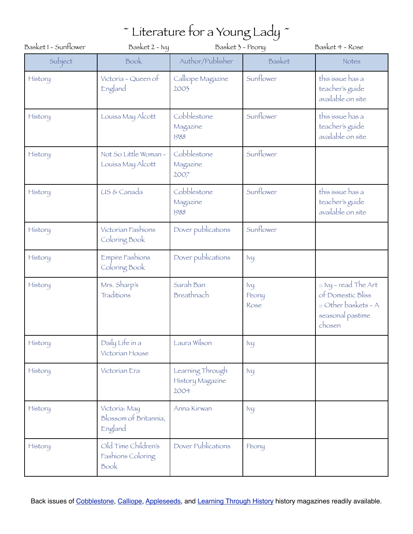| Basket 1 - Sunflower | Basket 2 - Ivy                                    | Basket 3 - Peony                             |                             | Basket 4 - Rose                                                                                  |
|----------------------|---------------------------------------------------|----------------------------------------------|-----------------------------|--------------------------------------------------------------------------------------------------|
| Subject              | Book                                              | Author/Publisher                             | Basket                      | Notes                                                                                            |
| History              | Victoria - Queen of<br>England                    | Calliope Magazine<br>2003                    | Sunflower                   | this issue has a<br>teacher's guide<br>available on site                                         |
| History              | Louisa May Alcott                                 | Cobblestone<br>Magazine<br>1988              | Sunflower                   | this issue has a<br>teacher's guide<br>available on site                                         |
| History              | Not So Little Woman -<br>Louisa May Alcott        | Cobblestone<br>Magazine<br>2007              | Sunflower                   |                                                                                                  |
| History              | US & Canada                                       | Cobblestone<br>Magazine<br>1988              | Sunflower                   | this issue has a<br>teacher's guide<br>available on site                                         |
| History              | Victorian Fashions<br>Coloring Book               | Dover publications                           | Sunflower                   |                                                                                                  |
| History              | Empire Fashions<br>Coloring Book                  | Dover publications                           | Ivq                         |                                                                                                  |
| History              | Mrs. Sharp's<br>Traditions                        | Sarah Ban<br>Breathnach                      | <b>Ivy</b><br>Peony<br>Rose | :: Ivy - read The Art<br>of Domestic Bliss<br>:: Other baskets - A<br>seasonal pastime<br>chosen |
| History              | Daily Life in a<br>Victorian House                | Laura Wilson                                 | Ivy                         |                                                                                                  |
| History              | Victorian Era                                     | Learning Through<br>History Magazine<br>2004 | Ivy                         |                                                                                                  |
| History              | Victoria: May<br>Blossom of Britannia,<br>England | Anna Kirwan                                  | $I\vee U$                   |                                                                                                  |
| History              | Old Time Children's<br>Fashions Coloring<br>Book  | Dover Publications                           | Peony                       |                                                                                                  |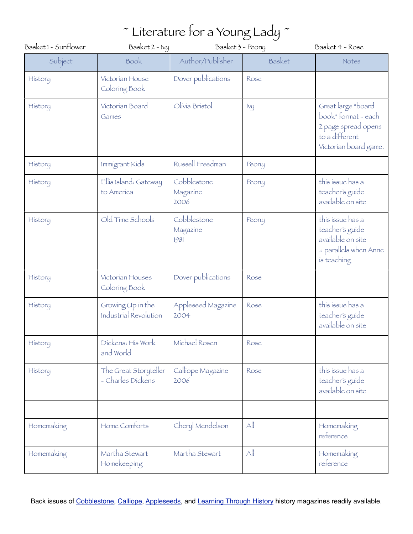| Basket 1 - Sunflower | Basket $2 - Ivy$                           | Basket 3 - Peony                |              | Basket 4 - Rose                                                                                          |
|----------------------|--------------------------------------------|---------------------------------|--------------|----------------------------------------------------------------------------------------------------------|
| Subject              | Book                                       | Author/Publisher                | Basket       | Notes                                                                                                    |
| History              | Victorian House<br>Coloring Book           | Dover publications              | Rose         |                                                                                                          |
| History              | Victorian Board<br>Games                   | Olivia Bristol                  | Ivq          | Great large *board<br>book*format-each<br>2 page spread opens<br>to a different<br>Victorian board game. |
| History              | Immigrant Kids                             | Russell Freedman                | Peony        |                                                                                                          |
| History              | Ellis Island: Gateway<br>to America        | Cobblestone<br>Magazine<br>2006 | Peony        | this issue has a<br>teacher's guide<br>available on site                                                 |
| History              | Old Time Schools                           | Cobblestone<br>Magazine<br>1981 | Peony        | this issue has a<br>teacher's guide<br>available on site<br>:: parallels when Anne<br>is teaching        |
| History              | Victorian Houses<br>Coloring Book          | Dover publications              | Rose         |                                                                                                          |
| History              | Growing Up in the<br>Industrial Revolution | Appleseed Magazine<br>2004      | Rose         | this issue has a<br>teacher's guide<br>available on site                                                 |
| History              | Dickens: His Work<br>and World             | Michael Rosen                   | Rose         |                                                                                                          |
| History              | The Great Storyteller<br>- Charles Dickens | Calliope Magazine<br>2006       | Rose         | this issue has a<br>teacher's guide<br>available on site                                                 |
|                      |                                            |                                 |              |                                                                                                          |
| Homemaking           | Home Comforts                              | Cheryl Mendelson                | $\mathbb{A}$ | Homemaking<br>reference                                                                                  |
| Homemaking           | Martha Stewart<br>Homekeeping              | Martha Stewart                  | All          | Homemaking<br>reference                                                                                  |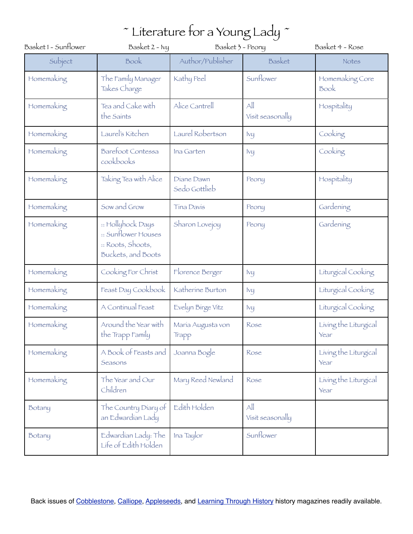| Basket 1 - Sunflower | Basket 2 - Ivy                                                                      | Basket 3 - Peony            |                                  | Basket 4 - Rose               |
|----------------------|-------------------------------------------------------------------------------------|-----------------------------|----------------------------------|-------------------------------|
| Subject              | Book                                                                                | Author/Publisher            | Basket                           | Notes                         |
| Homemaking           | The Family Manager<br>Takes Charge                                                  | Kathy Peel                  | Sunflower                        | Homemaking Core<br>Book       |
| Homemaking           | Tea and Cake with<br>the Saints                                                     | Alice Cantrell              | $\triangle$<br>Visit seasonally  | Hospitality                   |
| Homemaking           | Laurel's Kitchen                                                                    | Laurel Robertson            | $I\vee U$                        | Cooking                       |
| Homemaking           | Barefoot Contessa<br>cookbooks                                                      | Ina Garten                  | $I\vee U$                        | Cooking                       |
| Homemaking           | Taking Tea with Alice                                                               | Diane Dawn<br>Sedo Gottlieb | Peony                            | Hospitality                   |
| Homemaking           | Sow and Grow                                                                        | <b>Tina Davis</b>           | Peony                            | Gardening                     |
| Homemaking           | :: Hollyhock Days<br>:: Sunflower Houses<br>:: Roots, Shoots,<br>Buckets, and Boots | Sharon Lovejoy              | Peony                            | Gardening                     |
| Homemaking           | Cooking For Christ                                                                  | Florence Berger             | Ivy                              | Liturgical Cooking            |
| Homemaking           | Feast Day Cookbook                                                                  | Katherine Burton            | Ivy                              | Liturgical Cooking            |
| Homemaking           | A Continual Feast                                                                   | Evelyn Birge Vitz           | $I\vee\iota$                     | Liturgical Cooking            |
| Homemaking           | Around the Year with<br>the Trapp Family                                            | María Augusta von<br>Trapp  | Rose                             | Living the Liturgical<br>Year |
| Homemaking           | A Book of Feasts and<br>Seasons                                                     | Joanna Bogle                | Rose                             | Living the Liturgical<br>Year |
| Homemaking           | The Year and Our<br>Children                                                        | Mary Reed Newland           | Rose                             | Living the Liturgical<br>Year |
| Botany               | The Country Diary of<br>an Edwardian Lady                                           | Edith Holden                | $\mathbb{A}$<br>Visit seasonally |                               |
| Botany               | Edwardian Lady: The<br>Life of Edith Holden                                         | Ina Taylor                  | Sunflower                        |                               |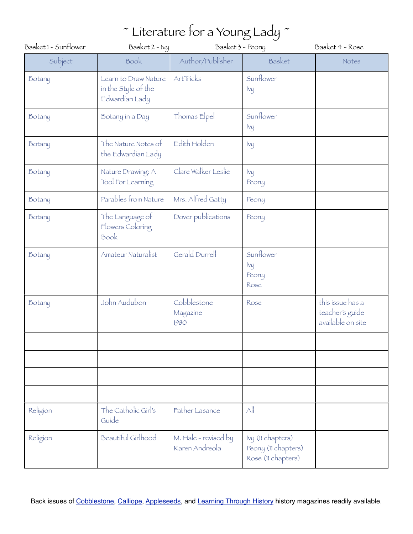| Basket 1 - Sunflower | Basket $2 - Ivy$                                              | Basket 3 - Peony                       |                                                                | Basket 4 - Rose                                          |
|----------------------|---------------------------------------------------------------|----------------------------------------|----------------------------------------------------------------|----------------------------------------------------------|
| Subject              | Book                                                          | Author/Publisher                       | Basket                                                         | Notes                                                    |
| Botany               | Learn to Draw Nature<br>in the Style of the<br>Edwardian Lady | ArtTricks                              | Sunflower<br>$I\vee U$                                         |                                                          |
| Botany               | Botany in a Day                                               | Thomas Elpel                           | Sunflower<br>lvy                                               |                                                          |
| Botany               | The Nature Notes of<br>the Edwardian Lady                     | Edith Holden                           | Ivy                                                            |                                                          |
| Botany               | Nature Drawing: A<br>Tool For Learning                        | Clare Walker Leslie                    | Ivij<br>Peony                                                  |                                                          |
| Botany               | Parables from Nature                                          | Mrs. Alfred Gatty                      | Peony                                                          |                                                          |
| Botany               | The Language of<br>Flowers Coloring<br>Book                   | Dover publications                     | Peony                                                          |                                                          |
| Botany               | Amateur Naturalist                                            | <b>Gerald Durrell</b>                  | Sunflower<br>$I\vee U$<br>Peony<br>Rose                        |                                                          |
| Botany               | John Audubon                                                  | Cobblestone<br>Magazine<br>1980        | Rose                                                           | this issue has a<br>teacher's guide<br>available on site |
|                      |                                                               |                                        |                                                                |                                                          |
|                      |                                                               |                                        |                                                                |                                                          |
|                      |                                                               |                                        |                                                                |                                                          |
| Religion             | The Catholic Girl's<br>Guíde                                  | Father Lasance                         | All                                                            |                                                          |
| Religion             | <b>Beautiful Girlhood</b>                                     | M. Hale - revised by<br>Karen Andreola | Ivy (II chapters)<br>Peony (11 chapters)<br>Rose (11 chapters) |                                                          |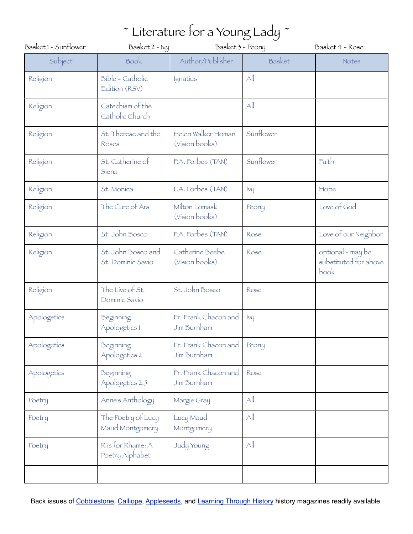| Basket 1 - Sunflower | Basket 2 - Ivy<br>Basket 3 - Peony      |                                      | Basket 4 - Rose        |                                                    |
|----------------------|-----------------------------------------|--------------------------------------|------------------------|----------------------------------------------------|
| Subject              | Book                                    | Author/Publisher                     | Basket                 | Notes                                              |
| Religion             | Bible - Catholic<br>Edition (RSV)       | Ignatius                             | $\mathsf{All}$         |                                                    |
| Religion             | Catechism of the<br>Catholic Church     |                                      | All                    |                                                    |
| Religion             | St. Therese and the<br>Roses            | Helen Walker Homan<br>(Vision books) | Sunflower              |                                                    |
| Religion             | St. Catherine of<br>Siena               | F.A. Forbes (TAN)                    | Sunflower              | Faith                                              |
| Religion             | St. Monica                              | F.A. Forbes (TAN)                    | lvy                    | Hope                                               |
| Religion             | The Cure of Ars                         | Milton Lomask<br>(Vision books)      | Peony                  | Love of God                                        |
| Religion             | St. John Bosco                          | F.A. Forbes (TAN)                    | Rose                   | Love of our Neighbor                               |
| Religion             | St. John Bosco and<br>St. Dominic Savio | Catherine Beebe<br>(Vision books)    | Rose                   | optional - may be<br>substituted for above<br>book |
| Religion             | The Live of St.<br>Dominic Savio        | St. John Bosco                       | Rose                   |                                                    |
| Apologetics          | Beginning<br>Apologetics 1              | Fr. Frank Chacon and<br>Jim Burnham  | $I\vee U$              |                                                    |
| Apologetics          | Beginning<br>Apologetics 2              | Fr. Frank Chacon and<br>Jim Burnham  | Peony                  |                                                    |
| Apologetics          | Beginning<br>Apologetics 2.5            | Fr. Frank Chacon and<br>Jim Burnham  | Rose                   |                                                    |
| Poetry               | Anne's Anthology                        | Margie Gray                          | $\mathsf{All}$         |                                                    |
| Poetry               | The Poetry of Lucy<br>Maud Montgomery   | Lucy Maud<br>Montgomery              | $\mathbb{A}\mathbb{I}$ |                                                    |
| Poetry               | R is for Rhyme: A<br>Poetry Alphabet    | Judy Young                           | All                    |                                                    |
|                      |                                         |                                      |                        |                                                    |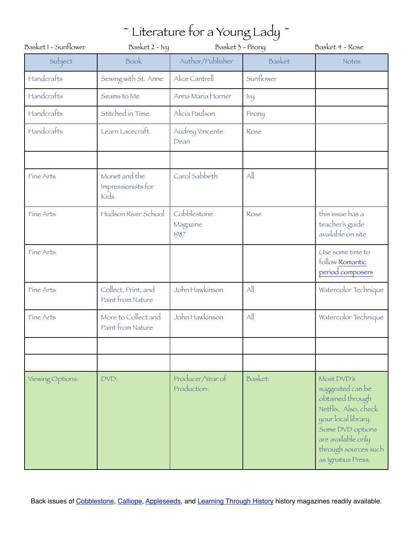| Basket1 - Sunflower | Basket 2 - Ivy                              | Basket 3 - Peony                |            | Basket 4 - Rose                                                                                                                                                                           |
|---------------------|---------------------------------------------|---------------------------------|------------|-------------------------------------------------------------------------------------------------------------------------------------------------------------------------------------------|
| Subject             | Book                                        | Author/Publisher                | Basket     | Notes                                                                                                                                                                                     |
| Handcrafts          | Sewing with St. Anne                        | Alice Cantrell                  | Sunflower  |                                                                                                                                                                                           |
| Handcrafts          | Seams to Me                                 | Anna María Horner               | <b>Ivy</b> |                                                                                                                                                                                           |
| Handcrafts          | Stitched in Time                            | Alicia Paulson                  | Peony      |                                                                                                                                                                                           |
| Handcrafts          | Learn Lacecraft                             | Audrey Vincente<br>Dean         | Rose       |                                                                                                                                                                                           |
|                     |                                             |                                 |            |                                                                                                                                                                                           |
| Fine Arts           | Monet and the<br>Impressionists for<br>Kíds | Carol Sabbeth                   | All        |                                                                                                                                                                                           |
| Fine Arts           | Hudson River School                         | Cobblestone<br>Magazine<br>1987 | Rose       | this issue has a<br>teacher's guide<br>available on site                                                                                                                                  |
| Fine Arts           |                                             |                                 |            | Use some time to<br>follow Romantic<br>períod composers                                                                                                                                   |
| Fine Arts           | Collect, Print, and<br>Paint from Nature    | John Hawkinson                  | All        | Watercolor Technique                                                                                                                                                                      |
| Fine Arts           | More to Collect and<br>Paint from Nature    | John Hawkinson                  | All        | Watercolor Technique                                                                                                                                                                      |
|                     |                                             |                                 |            |                                                                                                                                                                                           |
|                     |                                             |                                 |            |                                                                                                                                                                                           |
| Viewing Options:    | DVD:                                        | Producer/Year of<br>Production: | Basket:    | Most DVD's<br>suggested can be<br>obtained through<br>Netflíx. Also, check<br>your local library.<br>Some DVD options<br>are available only<br>through sources such<br>as Ignatius Press. |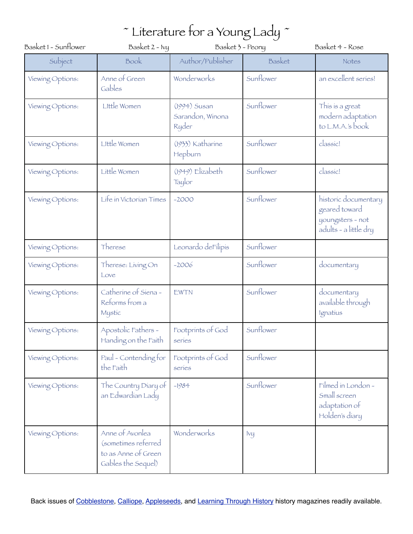| Basket1 - Sunflower | Basket 2 - Ivy                                                                      | Basket 3 - Peony                          |           | Basket 4 - Rose                                                                    |
|---------------------|-------------------------------------------------------------------------------------|-------------------------------------------|-----------|------------------------------------------------------------------------------------|
| Subject             | Book                                                                                | Author/Publisher                          | Basket    | Notes                                                                              |
| Viewing Options:    | Anne of Green<br>Gables                                                             | Wonderworks                               | Sunflower | an excellent series!                                                               |
| Viewing Options:    | Little Women                                                                        | (1994) Susan<br>Sarandon, Winona<br>Ryder | Sunflower | This is a great<br>modern adaptation<br>to L.M.A.'s book                           |
| Viewing Options:    | Little Women                                                                        | (1933) Katharine<br>Hepburn               | Sunflower | classic!                                                                           |
| Viewing Options:    | Little Women                                                                        | (1949) Elizabeth<br>Taylor                | Sunflower | classic!                                                                           |
| Viewing Options:    | Life in Victorian Times                                                             | $-2000$                                   | Sunflower | historic documentary<br>geared toward<br>youngsters - not<br>adults - a little dry |
| Viewing Options:    | Therese                                                                             | Leonardo deFilipis                        | Sunflower |                                                                                    |
| Viewing Options:    | Therese: Living On<br>Love                                                          | $-2006$                                   | Sunflower | documentary                                                                        |
| Viewing Options:    | Catherine of Siena -<br>Reforms from a<br>Mystic                                    | EWTN                                      | Sunflower | documentary<br>available through<br>Ignatius                                       |
| Viewing Options:    | Apostolic Fathers -<br>Handing on the Faith                                         | Footprints of God<br>series               | Sunflower |                                                                                    |
| Viewing Options:    | Paul - Contending for<br>the Faith                                                  | Footprints of God<br>series               | Sunflower |                                                                                    |
| Viewing Options:    | The Country Diary of<br>an Edwardian Lady                                           | $-1984$                                   | Sunflower | Filmed in London -<br>Small screen<br>adaptation of<br>Holden's diary              |
| Viewing Options:    | Anne of Avonlea<br>(sometimes referred<br>to as Anne of Green<br>Gables the Sequel) | Wonderworks                               | Ivij      |                                                                                    |